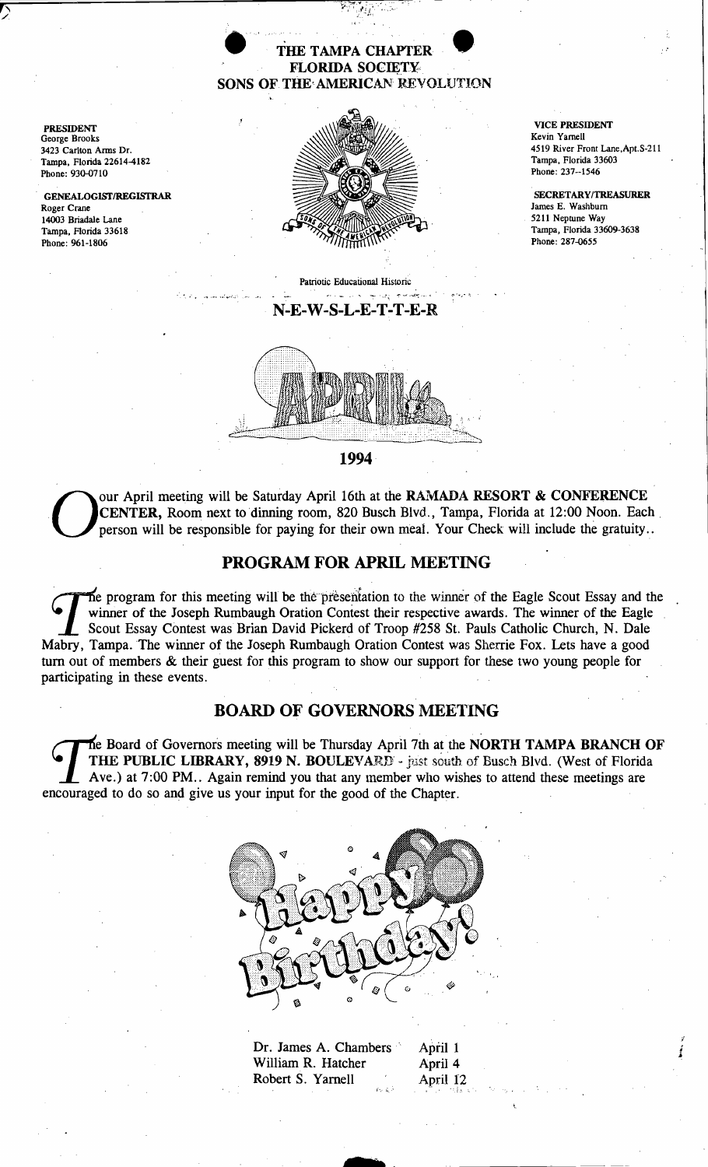### THE TAMPA CHAPTEI FLORIDA SOCIETY SONS OF THE'AMERICAN REVOLUTION

George Brooks 3423 Carlton Arms Dr. Phone: 930-0710

Roger Crane . GENEALOGISfIREGISrRAR 14003 Briadale Lane Tampa, Florida 33618 Phone: 961-1806



Patriotic Educational Historic N-E-W-S-L-E-T-T-E-R

. '. .", ..,.. *·':v'·.-·* .'" ,.,



1994·

Our April meeting will be Saturday April 16th at the RAMADA RESORT & CONFERENCE<br>CENTER, Room next to dinning room, 820 Busch Blvd., Tampa, Florida at 12:00 Noon. Each<br>person will be responsible for paying for their own mea **CENTER,** Room next to dinning room, 820 Busch Blvd., Tampa, Florida at 12:00 Noon. Each person will be responsible for paying for their own meal. Your Check will include the gratuity..

# PROGRAM FOR APRIL MEETING

The program for this meeting will be the presentation to the winner of the Eagle Scout Essay and the winner of the Joseph Rumbaugh Oration Contest their respective awards. The winner of the Eagle Scout Essay Contest was Brian David Pickerd of Troop #258 St. Pauls Catholic Church, N. Dale Mabry, Tampa. The winner of the Joseph Rumbaugh Oration Contest was Sherrie Fox. Lets have a good tum out of members & their guest for this program to show our support for these two young people for participating in these events.

## BOARD OF GOVERNORS MEETING

THE PUBLIC LIBRARY, 8919 N. BOULEVARD - just south of Busch Blvd. (West of Florida<br>Ave.) at 7:00 PM.. Again remind you that any member who wishes to attend these meetings are<br>couraged to do so and give us your input for th THE PUBLIC LIBRARY, 8919 N. BOULEVARD - just south of Busch Blvd. (West of Florida encouraged to do so and give us your input for the good of the Chapter.



Dr. James A. Chambers April 1<br>William R. Hatcher April 4 William R. Hatcher Robert S. Yarnell April 12

s·

{-" ~.:' "11 :.".

.. • I'

4519 River Front Lane,Apt.S-ZII

SECRET*ARYl*TREASURER James E. Washburn 5211 Neptune Way Phone: 287-0655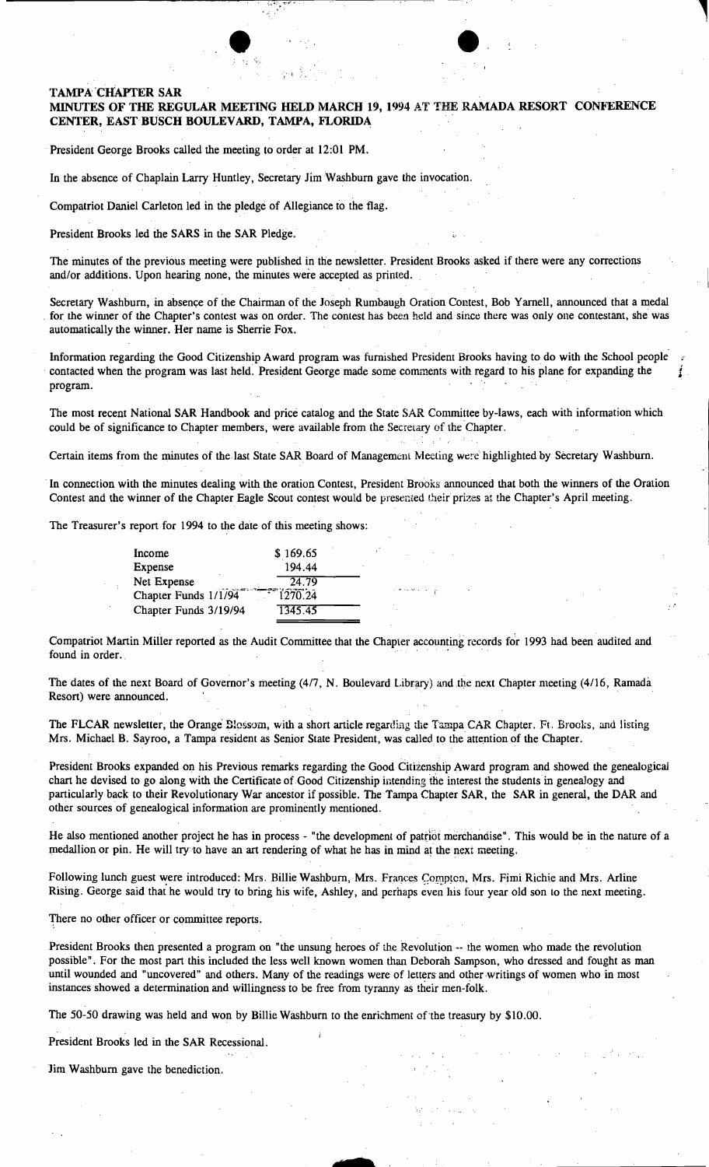#### TAMPA CHAPTER SAR

#### MINUTES OF THE REGULAR MEETING HELD MARCH 19, 1994 AT THE RAMADA RESORT CONFERENCE CENTER, EAST BUSCH BOULEVARD, TAMPA, FLORIDA

 $\bullet$ 

• '

President George Brooks called the meeting to order at 12:01 PM.

In the absence of Chaplain Larry Huntley, Secretary Jim Washburn gave the invocation.

'f' 1

Compatriot Daniel Carleton led in the pledge of Allegiance to the flag.

President Brooks led the SARS in the SAR Pledge.

The minutes of the previous meeting were published in the newsletter. President Brooks asked if there were any corrections and/or additions. Upon hearing none, the minutes were accepted as printed.

Secretary Washburn, in absence of the Chairman of the Joseph Rumbaugh Oration Contest, Bob Yarnell, announced that a medal for the winner of the Chapter's contest was on order. The contest has been held and since there was only one contestant, she was automatically the winner. Her name is Sherrie Fox.

Information regarding the Good Citizenship Award program was furnished President Brooks having to do with the School people " Information regarding the Good Citizenship Award program was furnished President Brooks having to do with the School people<br>contacted when the program was last held. President George made some comments with regard to his p program.

The most recent National SAR Handbook and price catalog and the State SAR Committee by-laws, each with information which could be of significance to Chapter members, were available from the Secretary of the 'Chapter.

Certain items from the minutes of the last State SAR Board of Management Meeting were highlighted by Secretary Washburn.

In connection with the minutes dealing with the oration Contest, President Brooks announced that both the winners of the Oration Contest and the winner of the Chapter Eagle Scout contest would be presented their prizes at the Chapter's April meeting.

The Treasurer's report for 1994 to the date of this meeting shows:

| Income                | \$169.65 |  |
|-----------------------|----------|--|
| Expense               | 194.44   |  |
| Net Expense           | 24.79    |  |
| Chapter Funds 1/1/94  | 1270.24  |  |
| Chapter Funds 3/19/94 | 1345.45  |  |

Compatriot Martin Miller reported as the Audit Committee that the Chapter accounting records for 1993 had been audited and found in order.

The dates of the next Board of Governor's meeting (4/7, N. Boulevard Library) and the next Chapter meeting (4/16, Ramada Resort) were announced.

The FLCAR newsletter, the Orange Blossom, with a short article regarding the Tampa CAR Chapter. Ft. Brooks, and listing Mrs. Michael B. Sayroo, a Tampa resident as Senior State President, was called to the attention of the Chapter.

President Brooks expanded on his Previous remarks regarding the Good Citizenship Award program and showed the genealogical chart he devised to go along with the Certificate of Good Citizenship intending the interest the students in genealogy and particularly back to their Revolutionary War ancestor if possible. The Tampa Chapter SAR, the SAR in general, the DAR and other sources of genealogical information are prominently mentioned.

He also mentioned another project he has in process - "the development of patriot merchandise". This would be in the nature of a medallion or pin. He will try to have an art rendering of what he has in mind at the next meeting.

Following lunch guest were introduced: Mrs. Billie Washburn, Mrs. Frances Compten, Mrs. Fimi Richie and Mrs. Arline Rising. George said that he would try to bring his wife, Ashley, and perhaps even his four year old son to the next meeting.

There no other officer or committee reports.

President Brooks then presented a program on "the unsung heroes of the Revolution -- the women who made the revolution possible". For the most part this included the less well known women than Deborah Sampson, who dressed and fought as man until wounded and "uncovered" and others. Many of the readings were of letters and other.writings of women who in most instances showed a determination and willingness to be free from tyranny as their men-folk.

**s** 

The 50-50 drawing was held and won by Billie Washburn to the enrichment of'the treasury by \$10.00.

President Brooks led in the SAR Recessional.

Jim Washburn gave the benediction.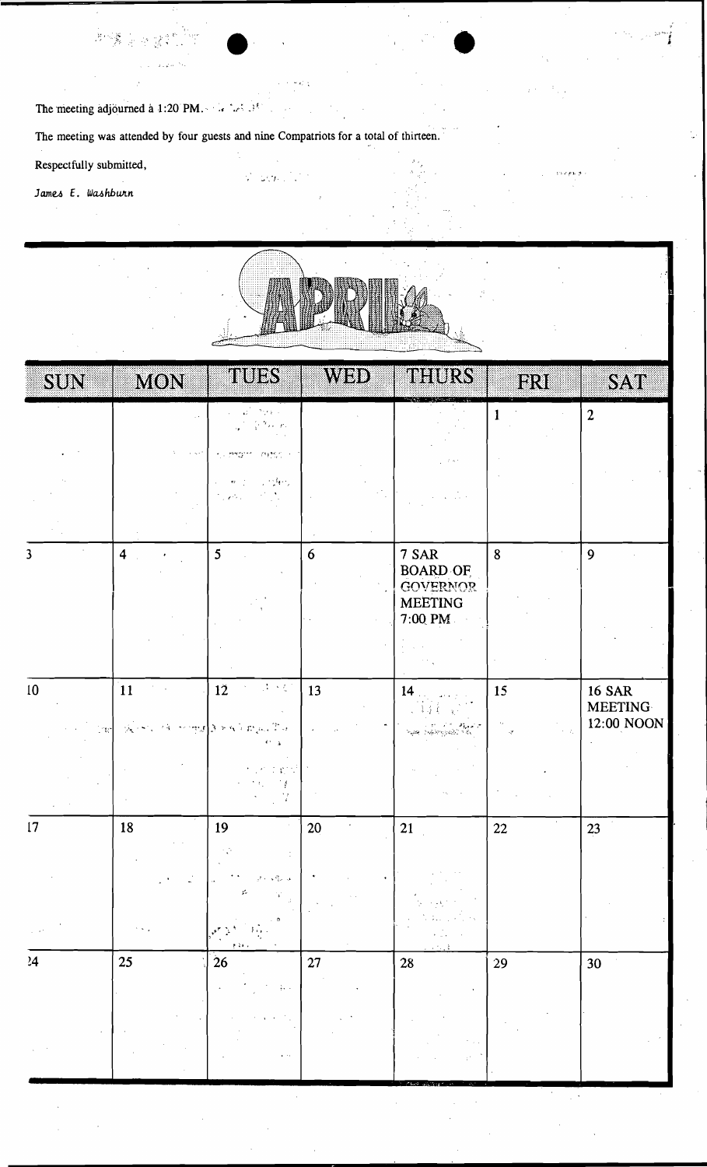The meeting adjourned a 1:20 PM.  $\cdots$  and  $\cdots$ 

读章

The meeting was attended by four guests and nine Compatriots for a total of thirteen.

 $\label{eq:2} \frac{1}{T}=\frac{1}{2} \delta_{\alpha} T_{\alpha} \frac{1}{T_{\alpha}} \frac{1}{T_{\alpha}}.$ 

Respectfully submitted,

 $\mathcal{L}^{\star}$  $\sim \frac{C}{2\pi}$ 

James E. Washburn



 $\psi$  and  $\psi$  and  $\psi$ 

| SUN                     | <b>MON</b>                   | <u>uulik</u>                                                   | WBD    | THURS                                                                                                                                                                                                                                                                                                                                                                                                                                                                                                                  | BRI                                | SAT                             |
|-------------------------|------------------------------|----------------------------------------------------------------|--------|------------------------------------------------------------------------------------------------------------------------------------------------------------------------------------------------------------------------------------------------------------------------------------------------------------------------------------------------------------------------------------------------------------------------------------------------------------------------------------------------------------------------|------------------------------------|---------------------------------|
|                         |                              | े एक<br>¥ř.                                                    |        |                                                                                                                                                                                                                                                                                                                                                                                                                                                                                                                        | $\mathbf{1}$                       | $\boldsymbol{2}$                |
|                         | $\alpha = \alpha_0 + 1$      | $D\Omega_{\rm DM}^{\rm NLO}$ .<br>marri                        |        |                                                                                                                                                                                                                                                                                                                                                                                                                                                                                                                        |                                    |                                 |
|                         |                              | 计结构<br>المحافين                                                |        |                                                                                                                                                                                                                                                                                                                                                                                                                                                                                                                        |                                    |                                 |
|                         |                              |                                                                |        |                                                                                                                                                                                                                                                                                                                                                                                                                                                                                                                        |                                    |                                 |
| $\overline{\mathbf{3}}$ | $\overline{\mathbf{4}}$      | 5                                                              | 6      | 7 SAR<br><b>BOARD OF</b><br><b>GOVERNOR</b>                                                                                                                                                                                                                                                                                                                                                                                                                                                                            | $\boldsymbol{8}$                   | 9                               |
|                         |                              |                                                                |        | <b>MEETING</b><br>7:00 PM                                                                                                                                                                                                                                                                                                                                                                                                                                                                                              |                                    |                                 |
|                         |                              |                                                                |        |                                                                                                                                                                                                                                                                                                                                                                                                                                                                                                                        |                                    |                                 |
| 10                      | $\boxed{11}$<br>$\sim$       | $\mathbb{Z}^2 \times \mathbb{Z}^2$<br>12<br>$\mathbf{v}_\perp$ | 13     | 14                                                                                                                                                                                                                                                                                                                                                                                                                                                                                                                     | 15                                 | <b>16 SAR</b><br><b>MEETING</b> |
| line                    | $\mathcal{P}_{\mathbf{X}}$ . | Look response & Supply The<br>$\Delta$                         |        | $\frac{1}{2} \sum_{\substack{ \alpha \in \mathcal{C}_\infty \\ \alpha \in \mathcal{C}_\infty}} \frac{1}{\alpha} \sum_{\substack{ \alpha \in \mathcal{C}_\infty \\ \alpha \in \mathcal{C}_\infty}} \frac{1}{\alpha} \sum_{\substack{ \alpha \in \mathcal{C}_\infty \\ \alpha \in \mathcal{C}_\infty}} \frac{1}{\alpha} \sum_{\substack{ \alpha \in \mathcal{C}_\infty \\ \alpha \in \mathcal{C}_\infty}} \frac{1}{\alpha} \sum_{\substack{ \alpha \in \mathcal{C}_\infty \\ \alpha \in \mathcal{C}_\infty}} \frac{1}{\$ | $\epsilon = 2\pi$<br>$\mathcal{L}$ | 12:00 NOON                      |
|                         |                              | in gen                                                         |        |                                                                                                                                                                                                                                                                                                                                                                                                                                                                                                                        |                                    |                                 |
| 17                      | 18                           | 19                                                             | 20     | 21                                                                                                                                                                                                                                                                                                                                                                                                                                                                                                                     | $22\,$                             | 23                              |
|                         |                              | 10                                                             |        |                                                                                                                                                                                                                                                                                                                                                                                                                                                                                                                        |                                    |                                 |
|                         |                              | 1414                                                           |        |                                                                                                                                                                                                                                                                                                                                                                                                                                                                                                                        |                                    |                                 |
| 24                      | 25                           | 26                                                             | $27\,$ | ${\bf 28}$                                                                                                                                                                                                                                                                                                                                                                                                                                                                                                             | $29\,$                             | 30                              |
|                         |                              |                                                                |        |                                                                                                                                                                                                                                                                                                                                                                                                                                                                                                                        |                                    |                                 |
|                         |                              | $\sim$                                                         |        |                                                                                                                                                                                                                                                                                                                                                                                                                                                                                                                        |                                    |                                 |